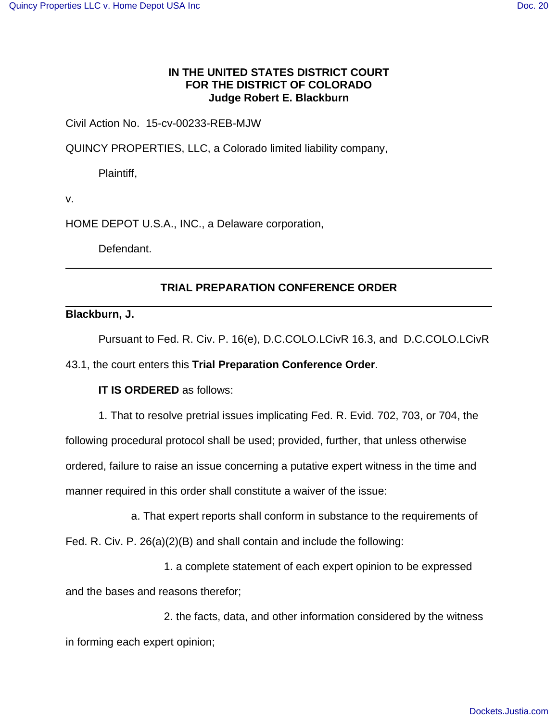## **IN THE UNITED STATES DISTRICT COURT FOR THE DISTRICT OF COLORADO Judge Robert E. Blackburn**

Civil Action No. 15-cv-00233-REB-MJW

QUINCY PROPERTIES, LLC, a Colorado limited liability company,

Plaintiff,

v.

HOME DEPOT U.S.A., INC., a Delaware corporation,

Defendant.

## **TRIAL PREPARATION CONFERENCE ORDER**

**Blackburn, J.**

Pursuant to Fed. R. Civ. P. 16(e), D.C.COLO.LCivR 16.3, and D.C.COLO.LCivR

43.1, the court enters this **Trial Preparation Conference Order**.

## **IT IS ORDERED** as follows:

1. That to resolve pretrial issues implicating Fed. R. Evid. 702, 703, or 704, the following procedural protocol shall be used; provided, further, that unless otherwise ordered, failure to raise an issue concerning a putative expert witness in the time and manner required in this order shall constitute a waiver of the issue:

a. That expert reports shall conform in substance to the requirements of

Fed. R. Civ. P. 26(a)(2)(B) and shall contain and include the following:

1. a complete statement of each expert opinion to be expressed and the bases and reasons therefor;

2. the facts, data, and other information considered by the witness in forming each expert opinion;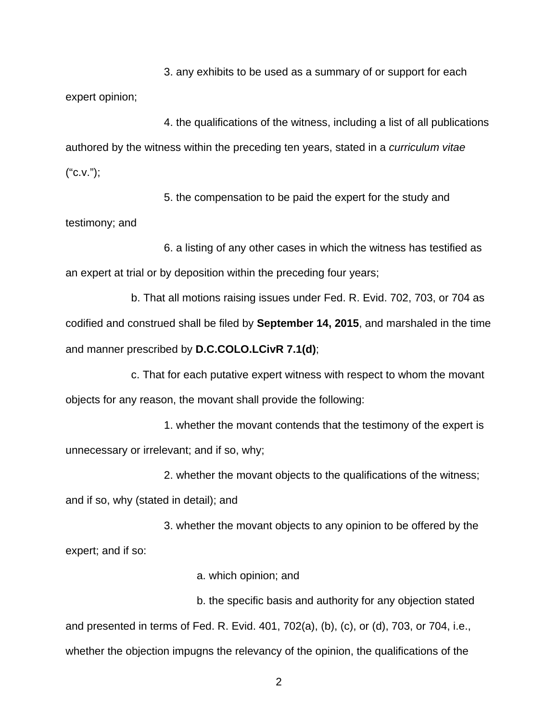3. any exhibits to be used as a summary of or support for each expert opinion;

4. the qualifications of the witness, including a list of all publications authored by the witness within the preceding ten years, stated in a curriculum vitae ("c.v.");

5. the compensation to be paid the expert for the study and testimony; and

6. a listing of any other cases in which the witness has testified as an expert at trial or by deposition within the preceding four years;

b. That all motions raising issues under Fed. R. Evid. 702, 703, or 704 as codified and construed shall be filed by **September 14, 2015**, and marshaled in the time and manner prescribed by **D.C.COLO.LCivR 7.1(d)**;

c. That for each putative expert witness with respect to whom the movant objects for any reason, the movant shall provide the following:

1. whether the movant contends that the testimony of the expert is unnecessary or irrelevant; and if so, why;

2. whether the movant objects to the qualifications of the witness;

and if so, why (stated in detail); and

3. whether the movant objects to any opinion to be offered by the expert; and if so:

a. which opinion; and

b. the specific basis and authority for any objection stated and presented in terms of Fed. R. Evid. 401, 702(a), (b), (c), or (d), 703, or 704, i.e., whether the objection impugns the relevancy of the opinion, the qualifications of the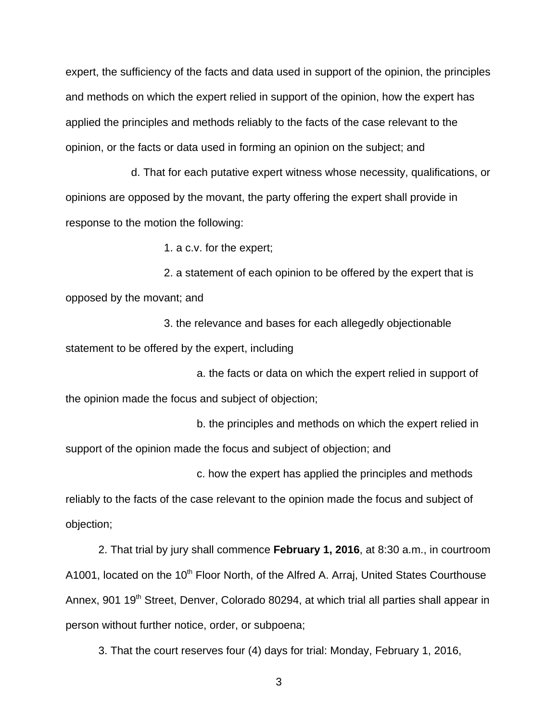expert, the sufficiency of the facts and data used in support of the opinion, the principles and methods on which the expert relied in support of the opinion, how the expert has applied the principles and methods reliably to the facts of the case relevant to the opinion, or the facts or data used in forming an opinion on the subject; and

d. That for each putative expert witness whose necessity, qualifications, or opinions are opposed by the movant, the party offering the expert shall provide in response to the motion the following:

1. a c.v. for the expert;

2. a statement of each opinion to be offered by the expert that is opposed by the movant; and

3. the relevance and bases for each allegedly objectionable statement to be offered by the expert, including

a. the facts or data on which the expert relied in support of the opinion made the focus and subject of objection;

b. the principles and methods on which the expert relied in support of the opinion made the focus and subject of objection; and

c. how the expert has applied the principles and methods reliably to the facts of the case relevant to the opinion made the focus and subject of objection;

2. That trial by jury shall commence **February 1, 2016**, at 8:30 a.m., in courtroom A1001, located on the 10<sup>th</sup> Floor North, of the Alfred A. Arraj, United States Courthouse Annex, 901 19<sup>th</sup> Street, Denver, Colorado 80294, at which trial all parties shall appear in person without further notice, order, or subpoena;

3. That the court reserves four (4) days for trial: Monday, February 1, 2016,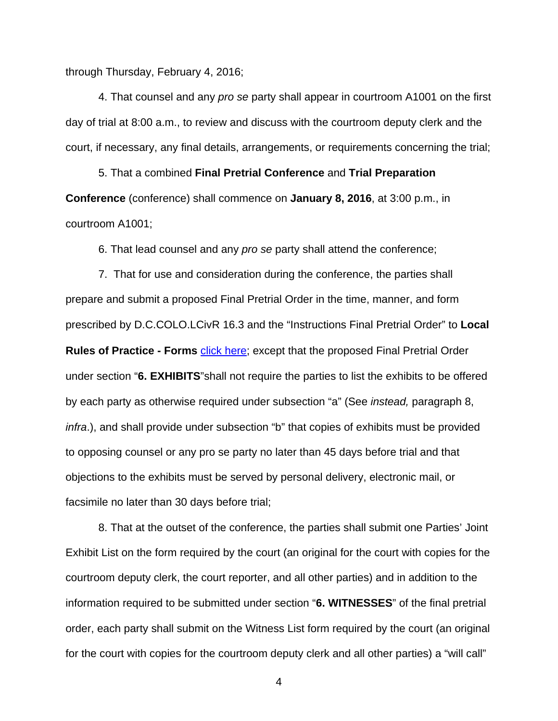through Thursday, February 4, 2016;

4. That counsel and any pro se party shall appear in courtroom A1001 on the first day of trial at 8:00 a.m., to review and discuss with the courtroom deputy clerk and the court, if necessary, any final details, arrangements, or requirements concerning the trial;

5. That a combined **Final Pretrial Conference** and **Trial Preparation Conference** (conference) shall commence on **January 8, 2016**, at 3:00 p.m., in courtroom A1001;

6. That lead counsel and any pro se party shall attend the conference;

7. That for use and consideration during the conference, the parties shall prepare and submit a proposed Final Pretrial Order in the time, manner, and form prescribed by D.C.COLO.LCivR 16.3 and the "Instructions Final Pretrial Order" to **Local Rules of Practice - Forms click here; except that the proposed Final Pretrial Order** under section "**6. EXHIBITS**"shall not require the parties to list the exhibits to be offered by each party as otherwise required under subsection "a" (See instead, paragraph 8, infra.), and shall provide under subsection "b" that copies of exhibits must be provided to opposing counsel or any pro se party no later than 45 days before trial and that objections to the exhibits must be served by personal delivery, electronic mail, or facsimile no later than 30 days before trial;

8. That at the outset of the conference, the parties shall submit one Parties' Joint Exhibit List on the form required by the court (an original for the court with copies for the courtroom deputy clerk, the court reporter, and all other parties) and in addition to the information required to be submitted under section "**6. WITNESSES**" of the final pretrial order, each party shall submit on the Witness List form required by the court (an original for the court with copies for the courtroom deputy clerk and all other parties) a "will call"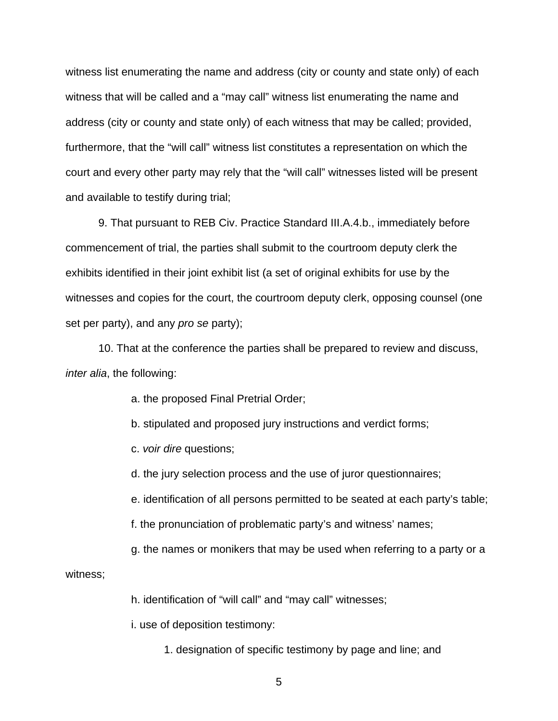witness list enumerating the name and address (city or county and state only) of each witness that will be called and a "may call" witness list enumerating the name and address (city or county and state only) of each witness that may be called; provided, furthermore, that the "will call" witness list constitutes a representation on which the court and every other party may rely that the "will call" witnesses listed will be present and available to testify during trial;

9. That pursuant to REB Civ. Practice Standard III.A.4.b., immediately before commencement of trial, the parties shall submit to the courtroom deputy clerk the exhibits identified in their joint exhibit list (a set of original exhibits for use by the witnesses and copies for the court, the courtroom deputy clerk, opposing counsel (one set per party), and any pro se party);

10. That at the conference the parties shall be prepared to review and discuss, inter alia, the following:

a. the proposed Final Pretrial Order;

b. stipulated and proposed jury instructions and verdict forms;

c. voir dire questions;

d. the jury selection process and the use of juror questionnaires;

e. identification of all persons permitted to be seated at each party's table;

f. the pronunciation of problematic party's and witness' names;

g. the names or monikers that may be used when referring to a party or a

witness;

h. identification of "will call" and "may call" witnesses;

i. use of deposition testimony:

1. designation of specific testimony by page and line; and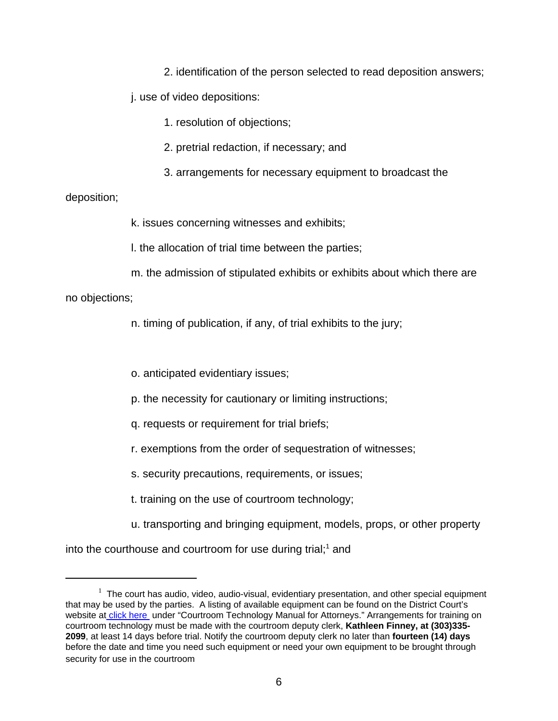2. identification of the person selected to read deposition answers;

j. use of video depositions:

1. resolution of objections;

- 2. pretrial redaction, if necessary; and
- 3. arrangements for necessary equipment to broadcast the

## deposition;

k. issues concerning witnesses and exhibits;

l. the allocation of trial time between the parties;

m. the admission of stipulated exhibits or exhibits about which there are

no objections;

n. timing of publication, if any, of trial exhibits to the jury;

o. anticipated evidentiary issues;

- p. the necessity for cautionary or limiting instructions;
- q. requests or requirement for trial briefs;
- r. exemptions from the order of sequestration of witnesses;
- s. security precautions, requirements, or issues;
- t. training on the use of courtroom technology;
- u. transporting and bringing equipment, models, props, or other property

into the courthouse and courtroom for use during trial;<sup>1</sup> and

 $1$  The court has audio, video, audio-visual, evidentiary presentation, and other special equipment that may be used by the parties. A listing of available equipment can be found on the District Court's website at click here under "Courtroom Technology Manual for Attorneys." Arrangements for training on courtroom technology must be made with the courtroom deputy clerk, **Kathleen Finney, at (303)335- 2099**, at least 14 days before trial. Notify the courtroom deputy clerk no later than **fourteen (14) days** before the date and time you need such equipment or need your own equipment to be brought through security for use in the courtroom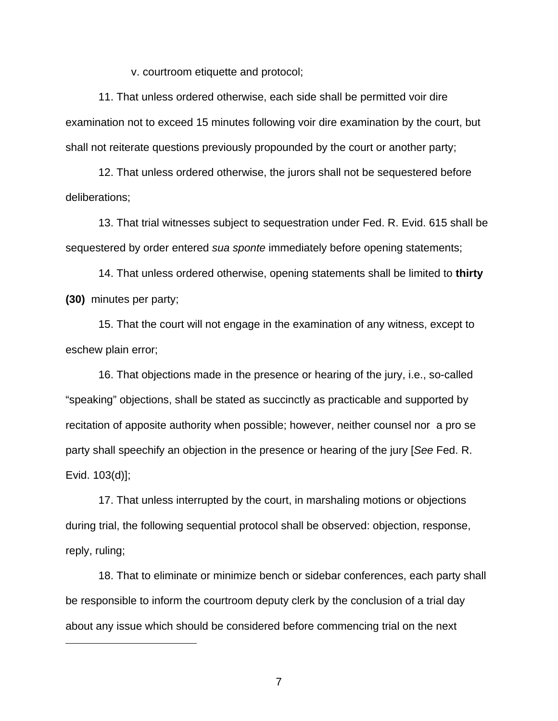v. courtroom etiquette and protocol;

11. That unless ordered otherwise, each side shall be permitted voir dire examination not to exceed 15 minutes following voir dire examination by the court, but shall not reiterate questions previously propounded by the court or another party;

12. That unless ordered otherwise, the jurors shall not be sequestered before deliberations;

13. That trial witnesses subject to sequestration under Fed. R. Evid. 615 shall be sequestered by order entered sua sponte immediately before opening statements;

14. That unless ordered otherwise, opening statements shall be limited to **thirty (30)** minutes per party;

15. That the court will not engage in the examination of any witness, except to eschew plain error;

16. That objections made in the presence or hearing of the jury, i.e., so-called "speaking" objections, shall be stated as succinctly as practicable and supported by recitation of apposite authority when possible; however, neither counsel nor a pro se party shall speechify an objection in the presence or hearing of the jury [See Fed. R. Evid. 103(d)];

17. That unless interrupted by the court, in marshaling motions or objections during trial, the following sequential protocol shall be observed: objection, response, reply, ruling;

18. That to eliminate or minimize bench or sidebar conferences, each party shall be responsible to inform the courtroom deputy clerk by the conclusion of a trial day about any issue which should be considered before commencing trial on the next